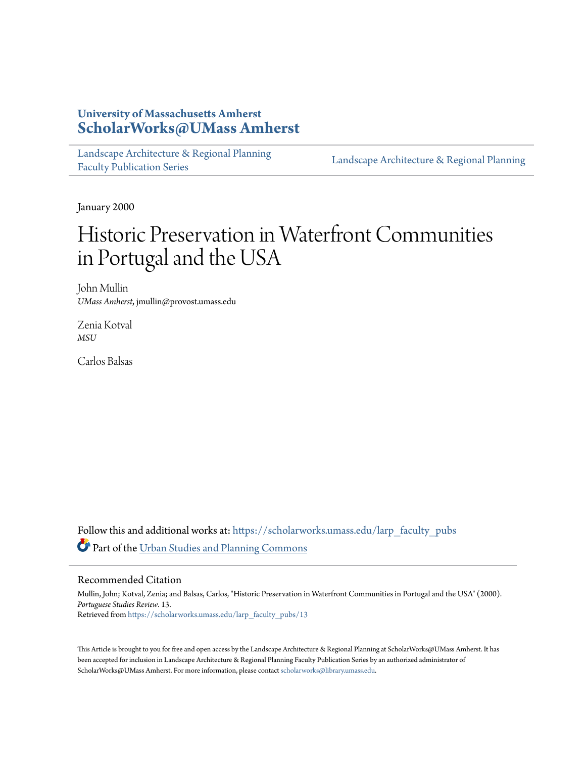# **University of Massachusetts Amherst [ScholarWorks@UMass Amherst](https://scholarworks.umass.edu?utm_source=scholarworks.umass.edu%2Flarp_faculty_pubs%2F13&utm_medium=PDF&utm_campaign=PDFCoverPages)**

[Landscape Architecture & Regional Planning](https://scholarworks.umass.edu/larp_faculty_pubs?utm_source=scholarworks.umass.edu%2Flarp_faculty_pubs%2F13&utm_medium=PDF&utm_campaign=PDFCoverPages) [Faculty Publication Series](https://scholarworks.umass.edu/larp_faculty_pubs?utm_source=scholarworks.umass.edu%2Flarp_faculty_pubs%2F13&utm_medium=PDF&utm_campaign=PDFCoverPages)

[Landscape Architecture & Regional Planning](https://scholarworks.umass.edu/larp?utm_source=scholarworks.umass.edu%2Flarp_faculty_pubs%2F13&utm_medium=PDF&utm_campaign=PDFCoverPages)

January 2000

# Historic Preservation in Waterfront Communities in Portugal and the USA

John Mullin *UMass Amherst*, jmullin@provost.umass.edu

Zenia Kotval *MSU*

Carlos Balsas

Follow this and additional works at: [https://scholarworks.umass.edu/larp\\_faculty\\_pubs](https://scholarworks.umass.edu/larp_faculty_pubs?utm_source=scholarworks.umass.edu%2Flarp_faculty_pubs%2F13&utm_medium=PDF&utm_campaign=PDFCoverPages) Part of the [Urban Studies and Planning Commons](http://network.bepress.com/hgg/discipline/436?utm_source=scholarworks.umass.edu%2Flarp_faculty_pubs%2F13&utm_medium=PDF&utm_campaign=PDFCoverPages)

# Recommended Citation

Mullin, John; Kotval, Zenia; and Balsas, Carlos, "Historic Preservation in Waterfront Communities in Portugal and the USA" (2000). *Portuguese Studies Review*. 13. Retrieved from [https://scholarworks.umass.edu/larp\\_faculty\\_pubs/13](https://scholarworks.umass.edu/larp_faculty_pubs/13?utm_source=scholarworks.umass.edu%2Flarp_faculty_pubs%2F13&utm_medium=PDF&utm_campaign=PDFCoverPages)

This Article is brought to you for free and open access by the Landscape Architecture & Regional Planning at ScholarWorks@UMass Amherst. It has been accepted for inclusion in Landscape Architecture & Regional Planning Faculty Publication Series by an authorized administrator of ScholarWorks@UMass Amherst. For more information, please contact [scholarworks@library.umass.edu.](mailto:scholarworks@library.umass.edu)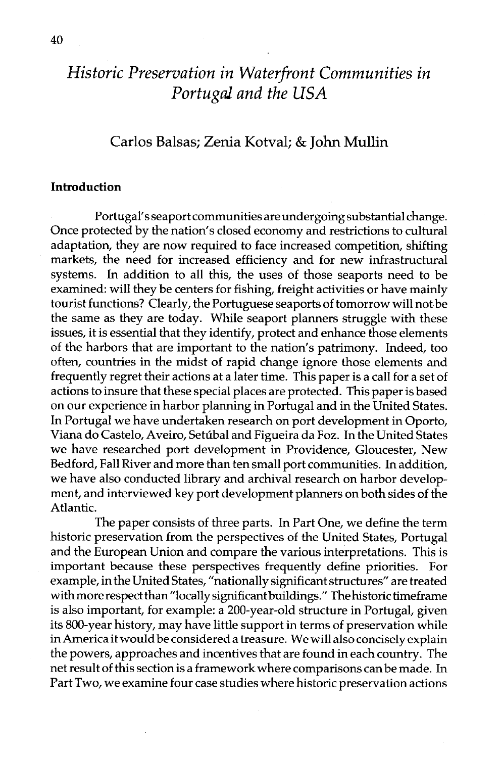# *Historic Preservation in Waterfront Communities in Portugal and the USA*

# Carlos Balsas; Zenia Kotval; & John Mullin

# **Introduction**

Portugal's seaport communities areundergoing substantial change. Once protected by the nation's closed economy and restrictions to cultural adaptation, they are now required to face increased competition, shifting markets, the need for increased efficiency and for new infrastructural systems. In addition to all this, the uses of those seaports need to be examined: will they be centers for fishing, freight activities or have mainly tourist functions? Clearly, the Portuguese seaports of tomorrow will not be the same as they are today. While seaport planners struggle with these issues, it is essential that they identify, protect and enhance those elements of the harbors that are important to the nation's patrimony. Indeed, too often, countries in the midst of rapid change ignore those elements and frequently regret their actions at a later time. This paper is a call for a set of actions to insure that these special places are protected. This paper is based on our experience in harbor planning in Portugal and in the United States. In Portugal we have undertaken research on port development in Oporto, Viana do Castelo, Aveiro, Settibal and Figueira da Foz. In the United States we have researched port development in Providence, Gloucester, New Bedford, Fall River and more than ten small port communities. In addition, we have also conducted library and archival research on harbor development, and interviewed key port development planners on both sides of the Atlantic.

The paper consists of three parts. In Part One, we define the term historic preservation from the perspectives of the United States, Portugal and the European Union and compare the various interpretations. This is important because these perspectives frequently define priorities. For example, in the United States, "nationally significant structures" are treated with more respect than "locally significant buildings." The historic timeframe is also important, for example: a 200-year-old structure in Portugal, given its 800-year history, may have little support in terms of preservation while in America it would be considered a treasure. We will also concisely explain the powers, approaches and incentives that are found in each country. The net result of this section is a framework where comparisons can be made. In Part Two, we examine four case studies where historic preservation actions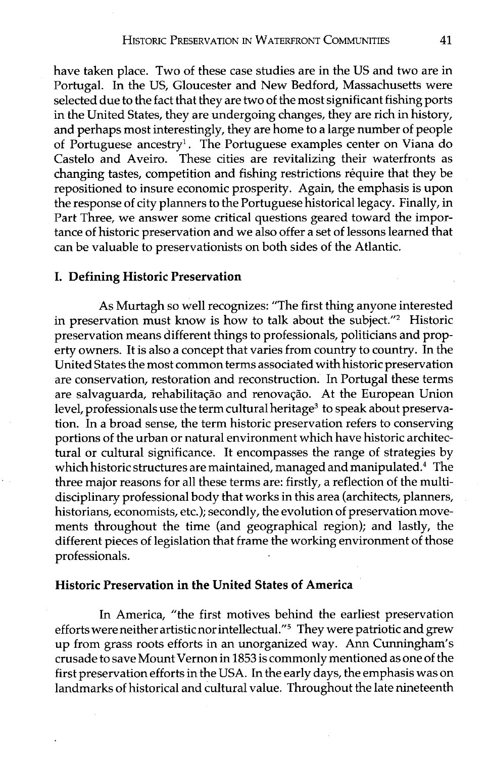have taken place. Two of these case studies are in the US and two are in Portugal. In the US, Gloucester and New Bedford, Massachusetts were selected due to the fact that they are two of the most significant fishing ports in the United States, they are undergoing changes, they are rich in history, and perhaps most interestingly, they are home to a large number of people of Portuguese ancestry1. The Portuguese examples center on Viana do Castelo and Aveiro. These cities are revitalizing their waterfronts as changing tastes, competition and fishing restrictions require that they be repositioned to insure economic prosperity. Again, the emphasis is upon the response of city planners to the Portuguese historical legacy. Finally, in Part Three, we answer some critical questions geared toward the importance of historic preservation and we also offer a set of lessons learned that can be valuable to preservationists on both sides of the Atlantic.

# I. Defining Historic Preservation

As Murtagh so well recognizes: "The first thing anyone interested in preservation must know is how to talk about the subject."<sup>2</sup> Historic preservation means different things to professionals, politicians and property owners. It is also a concept that varies from country to country. In the United States the most common terms associated with historic preservation are conservation, restoration and reconstruction. In Portugal these terms are salvaguarda, rehabilitação and renovação. At the European Union level, professionals use the term cultural heritage<sup>3</sup> to speak about preservation. In a broad sense, the term historic preservation refers to conserving portions of the urban or natural environment which have historic architectural or cultural significance. It encompasses the range of strategies by which historic structures are maintained, managed and manipulated. $4$  The three major reasons for all these terms are: firstly, a reflection of the multidisciplinary professional body that works in this area (architects, planners, historians, economists, etc.); secondly, the evolution of preservation movements throughout the time (and geographical region); and lastly, the different pieces of legislation that frame the working environment of those professionals.

# Historic Preservation in the United States of America

In America, "the first motives behind the earliest preservation efforts were neither artistic nor intellectual."<sup>5</sup> They were patriotic and grew up from grass roots efforts in an unorganized way. Ann Cunningham's crusade to save Mount Vernon in 1853 is commonly mentioned as one of the first preservation efforts in the USA. In the early days, the emphasis was on landmarks of historical and cultural value. Throughout the late nineteenth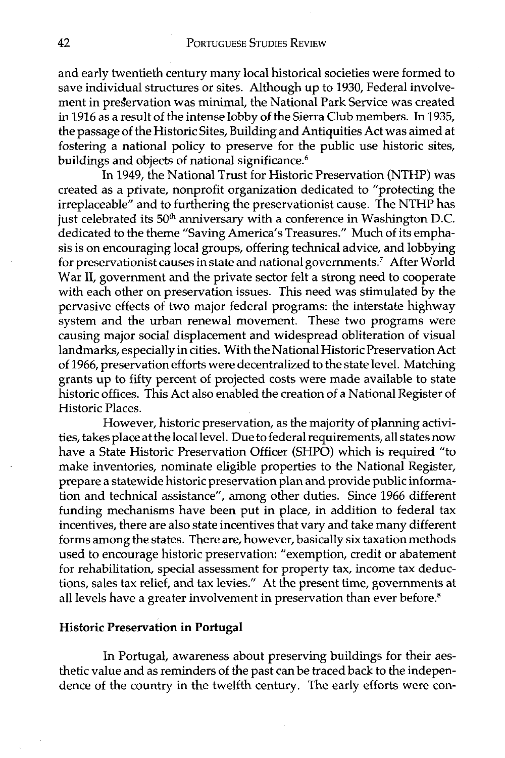and early twentieth century many local historical societies were formed to save individual structures or sites. Although up to 1930, Federal involvement in pregervation was minimal, the National Park Service was created in 1916 as a result of the intense lobby of the Sierra Club members. In 1935, the passage of the Historic Sites, Building and Antiquities Act was aimed at fostering a national policy to preserve for the public use historic sites, buildings and objects of national significance. $6$ 

In 1949, the National Trust for Historic Preservation (NTHP) was created as a private, nonprofit organization dedicated to "protecting the irreplaceable" and to furthering the preservationist cause. The NTHP has just celebrated its 50<sup>th</sup> anniversary with a conference in Washington D.C. dedicated to the theme "Saving America's Treasures." Much of its emphasis is on encouraging local groups, offering technical advice, and lobbying for preservationist causes in state and national governments.<sup>7</sup> After World War 11, government and the private sector felt a strong need to cooperate with each other on preservation issues. This need was stimulated by the pervasive effects of two major federal programs: the interstate highway system and the urban renewal movement. These two programs were causing major social displacement and widespread obliteration of visual landmarks, especially in cities. With the National Historic Preservation Act of 1966, preservation efforts were decentralized to the state level. Matching grants up to fifty percent of projected costs were made available to state historic offices. This Act also enabled the creation of a National Register of Historic Places.

However, historic preservation, as the majority of planning activities, takes place at the local level. Due to federal requirements, all states now have a State Historic Preservation Officer (SHPO) which is required "to make inventories, nominate eligible properties to the National Register, prepare a statewide historic preservation plan and provide public information and technical assistance", among other duties. Since 1966 different funding mechanisms have been put in place, in addition to federal tax incentives, there are also state incentives that vary and take many different forms among the states. There are, however, basically six taxation methods used to encourage historic preservation: "exemption, credit or abatement for rehabilitation, special assessment for property tax, income tax deductions, sales tax relief, and tax levies." At the present time, governments at all levels have a greater involvement in preservation than ever before. $^8$ 

#### **Historic Preservation in Portugal**

In Portugal, awareness about preserving buildings for their aesthetic value and as reminders of the past can be traced back to the independence of the country in the twelfth century. The early efforts were con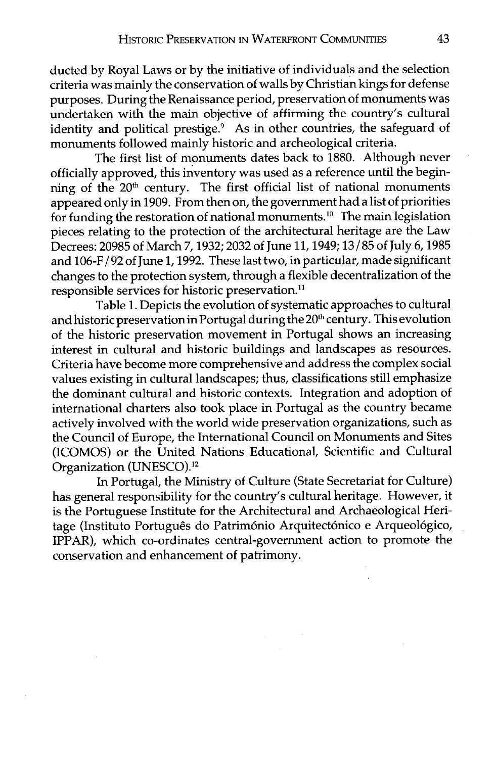ducted by Royal Laws or by the initiative of individuals and the selection criteria was mainly the conservation of walls by Christian kings for defense purposes. During the Renaissance period, preservation of monuments was undertaken with the main objective of affirming the country's cultural identity and political prestige.<sup>9</sup> As in other countries, the safeguard of monuments followed mainly historic and archeological criteria.

The first list of monuments dates back to 1880. Although never officially approved, this inventory was used as a reference until the beginning of the  $20<sup>th</sup>$  century. The first official list of national monuments appeared only in 1909. From then on, the government had a list of priorities for funding the restoration of national monuments.<sup>10</sup> The main legislation pieces relating to the protection of the architectural heritage are the Law Decrees: 20985 of March 7,1932; 2032 of June 11,1949; 13/85 of July 6,1985 and 106-F / 92 of June 1,1992. These last two, in particular, made significant changes to the protection system, through a flexible decentralization of the responsible services for historic preservation."

Table 1. Depicts the evolution of systematic approaches to cultural and historic preservation in Portugal during the 20<sup>th</sup> century. This evolution of the historic preservation movement in Portugal shows an increasing interest in cultural and historic buildings and landscapes as resources. Criteria have become more comprehensive and address the complex social values existing in cultural landscapes; thus, classifications still emphasize the dominant cultural and historic contexts. Integration and adoption of international charters also took place in Portugal as the country became actively involved with the world wide preservation organizations, such as the Council of Europe, the International Council on Monuments and Sites (ICOMOS) or the United Nations Educational, Scientific and Cultural Organization (UNESC0).12

In Portugal, the Ministry of Culture (State Secretariat for Culture) has general responsibility for the country's cultural heritage. However, it is the Portuguese Institute for the Architectural and Archaeological Heritage (Instituto Português do Património Arquitectónico e Arqueológico, IPPAR), which co-ordinates central-government action to promote the conservation and enhancement of patrimony.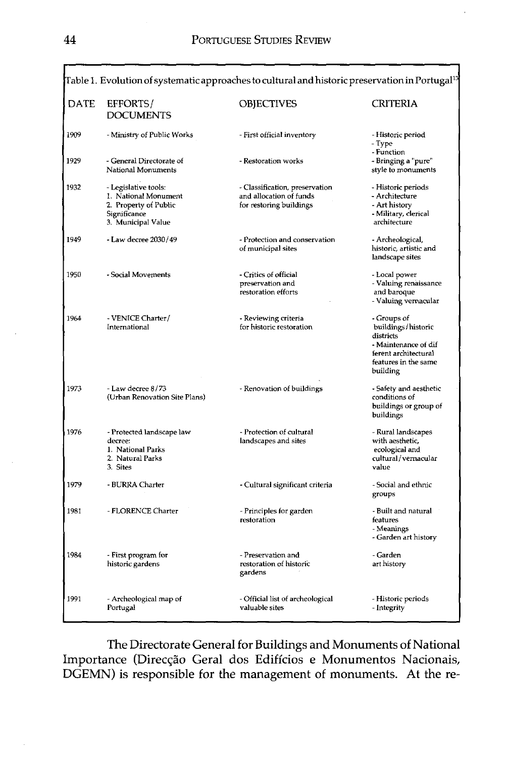| Table 1. Evolution of systematic approaches to cultural and historic preservation in Portugal <sup>13</sup> |                                                                                                             |                                                                                      |                                                                                                                                    |  |
|-------------------------------------------------------------------------------------------------------------|-------------------------------------------------------------------------------------------------------------|--------------------------------------------------------------------------------------|------------------------------------------------------------------------------------------------------------------------------------|--|
| DATE                                                                                                        | EFFORTS/<br><b>DOCUMENTS</b>                                                                                | OBJECTIVES                                                                           | CRITERIA                                                                                                                           |  |
| 1909                                                                                                        | - Ministry of Public Works                                                                                  | - First official inventory                                                           | - Historic period<br>- Type<br>- Function                                                                                          |  |
| 1929                                                                                                        | - General Directorate of<br>National Monuments                                                              | - Restoration works                                                                  | - Bringing a "pure"<br>style to monuments                                                                                          |  |
| 1932                                                                                                        | - Legislative tools:<br>1. National Monument<br>2. Property of Public<br>Significance<br>3. Municipal Value | - Classification, preservation<br>and allocation of funds<br>for restoring buildings | - Historic periods<br>- Architecture<br>- Art history<br>- Military, clerical<br>architecture                                      |  |
| 1949                                                                                                        | - Law decree 2030/49                                                                                        | - Protection and conservation<br>of municipal sites                                  | - Archeological,<br>historic, artistic and<br>landscape sites                                                                      |  |
| 1950                                                                                                        | - Social Movements                                                                                          | - Critics of official<br>preservation and<br>restoration efforts                     | - Local power<br>- Valuing renaissance<br>and baroque<br>- Valuing vernacular                                                      |  |
| 1964                                                                                                        | - VENICE Charter/<br>International                                                                          | - Reviewing criteria<br>for historic restoration                                     | - Groups of<br>buildings/historic<br>districts<br>- Maintenance of dif<br>ferent architectural<br>features in the same<br>building |  |
| 1973                                                                                                        | - Law decree 8/73<br>(Urban Renovation Site Plans)                                                          | - Renovation of buildings                                                            | - Safety and aesthetic<br>conditions of<br>buildings or group of<br>buildings                                                      |  |
| 1976                                                                                                        | - Protected landscape law<br>decree:<br>1. National Parks<br>2. Natural Parks<br>3. Sites                   | - Protection of cultural<br>landscapes and sites                                     | - Rural landscapes<br>with aesthetic.<br>ecological and<br>cultural/vernacular<br>value                                            |  |
| 1979                                                                                                        | - BURRA Charter                                                                                             | - Cultural significant criteria                                                      | - Social and ethnic<br>groups                                                                                                      |  |
| 1981                                                                                                        | - FLORENCE Charter                                                                                          | - Principles for garden<br>restoration                                               | - Built and natural<br>features<br>- Meanings<br>- Garden art history                                                              |  |
| 1984                                                                                                        | - First program for<br>historic gardens                                                                     | - Preservation and<br>restoration of historic<br>gardens                             | - Garden<br>art history                                                                                                            |  |
| 1991                                                                                                        | - Archeological map of<br>Portugal                                                                          | - Official list of archeological<br>valuable sites                                   | - Historic periods<br>- Integrity                                                                                                  |  |

The Directorate General for Buildings and Monuments of National Importance (Direcção Geral dos Edifícios e Monumentos Nacionais, DGEMN) is responsible for the management of monuments. At the re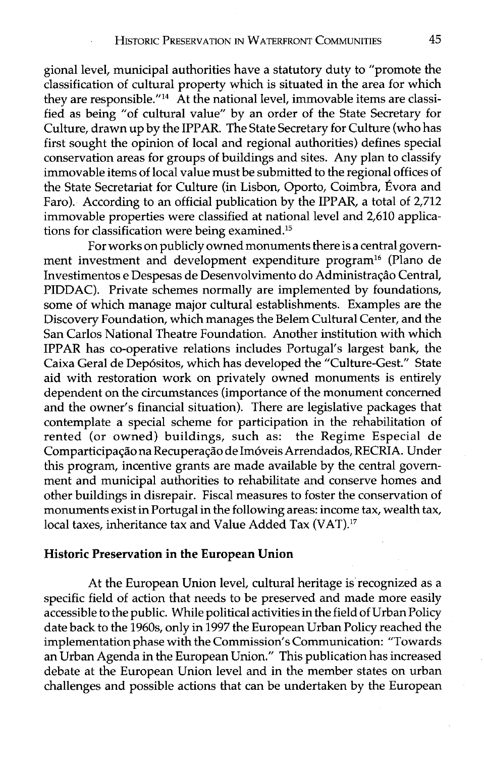gional level, municipal authorities have a statutory duty to "promote the classification of cultural property which is situated in the area for which they are responsible."<sup>14</sup> At the national level, immovable items are classified as being "of cultural value" by an order of the State Secretary for Culture, drawn up by the IPPAR. The State Secretary for Culture (who has first sought the opinion of local and regional authorities) defines special conservation areas for groups of buildings and sites. Any plan to classify immovable items of local value must be submitted to the regional offices of the State Secretariat for Culture (in Lisbon, Oporto, Coimbra, Évora and Faro). According to an official publication by the IPPAR, a total of 2,712 immovable properties were classified at national level and 2,610 applications for classification were being examined.15

For works on publicly owned monuments there is a central government investment and development expenditure program<sup>16</sup> (Plano de Investimentos e Despesas de Desenvolvimento do Administração Central, PIDDAC). Private schemes normally are implemented by foundations, some of which manage major cultural establishments. Examples are the Discovery Foundation, which manages the Belem Cultural Center, and the San Carlos National Theatre Foundation. Another institution with which IPPAR has co-operative relations includes Portugal's largest bank, the Caixa Geral de Depósitos, which has developed the "Culture-Gest." State aid with restoration work on privately owned monuments is entirely dependent on the circumstances (importance of the monument concerned and the owner's financial situation). There are legislative packages that contemplate a special scheme for participation in the rehabilitation of rented (or owned) buildings, such as: the Regime Especial de Comparticipação na Recuperação de Imóveis Arrendados, RECRIA. Under this program, incentive grants are made available by the central government and municipal authorities to rehabilitate and conserve homes and other buildings in disrepair. Fiscal measures to foster the conservation of monuments exist in Portugal in the following areas: income tax, wealth tax, local taxes, inheritance tax and Value Added Tax (VAT).17

#### **Historic Preservation in the European Union**

At the European Union level, cultural heritage is'recognized as a specific field of action that needs to be preserved and made more easily accessible to the public. While political activities in the field of Urban Policy date back to the 1960s, only in 1997 the European Urban Policy reached the implementation phase with the Commission's Communication: "Towards an Urban Agenda in the European Union." This publication has increased debate at the European Union level and in the member states on urban challenges and possible actions that can be undertaken by the European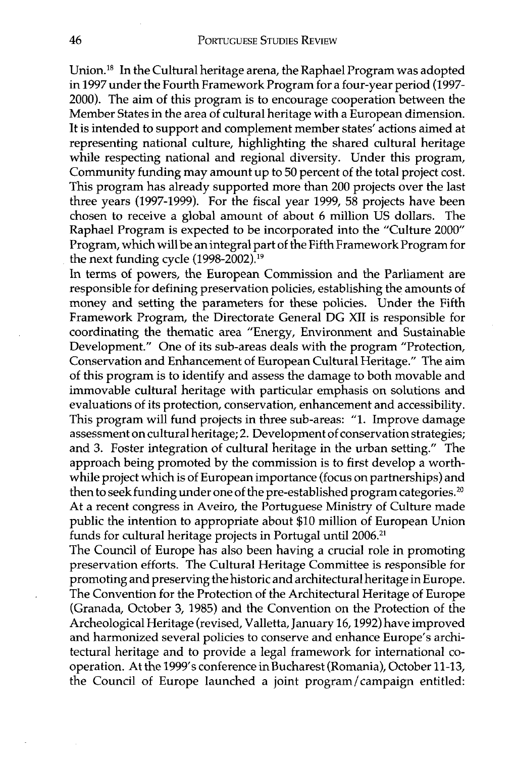Union.<sup>18</sup> In the Cultural heritage arena, the Raphael Program was adopted in 1997 under the Fourth Framework Program for a four-year period (1997-2000). The aim of this program is to encourage cooperation between the Member States in the area of cultural heritage with a European dimension. It is intended to support and complement member states' actions aimed at representing national culture, highlighting the shared cultural heritage while respecting national and regional diversity. Under this program, Community funding may amount up to 50 percent of the total project cost. This program has already supported more than 200 projects over the last three years (1997-1999). For the fiscal year 1999, 58 projects have been chosen to receive a global amount of about 6 million US dollars. The Raphael Program is expected to be incorporated into the "Culture 2000 Program, which will be an integral part of the Fifth Framework Program for the next funding cycle (1998-2002).<sup>19</sup>

In terms of powers, the European Commission and the Parliament are responsible for defining preservation policies, establishing the amounts of money and setting the parameters for these policies. Under the Fifth Framework Program, the Directorate General DG XI1 is responsible for coordinating the thematic area "Energy, Environment and Sustainable Development." One of its sub-areas deals with the program "Protection, Conservation and Enhancement of European Cultural Heritage." The aim of this program is to identify and assess the damage to both movable and immovable cultural heritage with particular emphasis on solutions and evaluations of its protection, conservation, enhancement and accessibility. This program will fund projects in three sub-areas: "1. Improve damage assessment on cultural heritage; 2. Development of conservation strategies; and 3. Foster integration of cultural heritage in the urban setting." The approach being promoted by the commission is to first develop a worthwhile project which is of European importance (focus on partnerships) and then to seek funding under one of the pre-established program categories.<sup>20</sup> At a recent congress in Aveiro, the Portuguese Ministry of Culture made public the intention to appropriate about \$10 million of European Union funds for cultural heritage projects in Portugal until 2006.<sup>21</sup>

The Council of Europe has also been having a crucial role in promoting preservation efforts. The Cultural Heritage Committee is responsible for promoting and preserving the historic and architectural heritage in Europe. The Convention for the Protection of the Architectural Heritage of Europe (Granada, October 3, 1985) and the Convention on the Protection of the Archeological Heritage (revised, Valletta, January 16,1992) have improved and harmonized several policies to conserve and enhance Europe's architectural heritage and to provide a legal framework for international cooperation. At the 1999's conference in Bucharest (Romania), October 11-13, the Council of Europe launched a joint program/campaign entitled: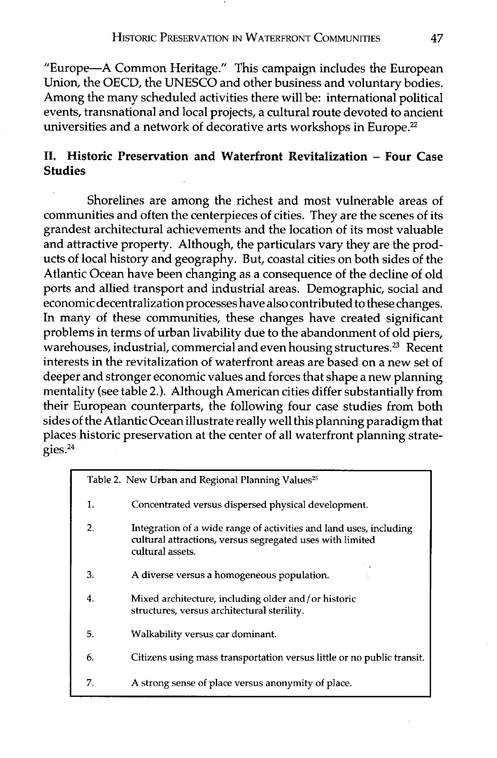"Europe-A Common Heritage." This campaign includes the European Union, the OECD, the UNESCO and other business and voluntary bodies. Among the many scheduled activities there will be: international political events, transnational and local projects, a cultural route devoted to ancient universities and a network of decorative arts workshops in Europe.<sup>22</sup>

# **11. Historic Preservation and Waterfront Revitalization** - **Four Case Studies**

Shorelines are among the richest and most vulnerable areas of communities and often the centerpieces of cities. They are the scenes of its grandest architectural achievements and the location of its most valuable and attractive property. Although, the particulars vary they are the products of local history and geography. But, coastal cities on both sides of the Atlantic Ocean have been changing as a consequence of the decline of old ports and allied transport and industrial areas. Demographic, social and economic decentralization processes have also contributed to these changes. In many of these communities, these changes have created significant problems in terms of urban livability due to the abandonment of old piers, warehouses, industrial, commercial and even housing structures.<sup>23</sup> Recent interests in the revitalization of waterfront areas are based on a new set of deeper and stronger economic values and forces that shape a new planning mentality (see table 2.). Although American cities differ substantially from their European counterparts, the following four case studies from both sides of the Atlantic Ocean illustrate really well this planning paradigm that places historic preservation at the center of all waterfront planning strategies. $24$ 

| Table 2. New Urban and Regional Planning Values <sup>25</sup> |                                                                                                                                                     |  |  |
|---------------------------------------------------------------|-----------------------------------------------------------------------------------------------------------------------------------------------------|--|--|
| 1.                                                            | Concentrated versus dispersed physical development.                                                                                                 |  |  |
| 2.                                                            | Integration of a wide range of activities and land uses, including<br>cultural attractions, versus segregated uses with limited<br>cultural assets. |  |  |
| 3.                                                            | A diverse versus a homogeneous population.                                                                                                          |  |  |
| 4.                                                            | Mixed architecture, including older and/or historic<br>structures, versus architectural sterility.                                                  |  |  |
| 5.                                                            | Walkability versus car dominant.                                                                                                                    |  |  |
| 6.                                                            | Citizens using mass transportation versus little or no public transit.                                                                              |  |  |
| 7.                                                            | A strong sense of place versus anonymity of place.                                                                                                  |  |  |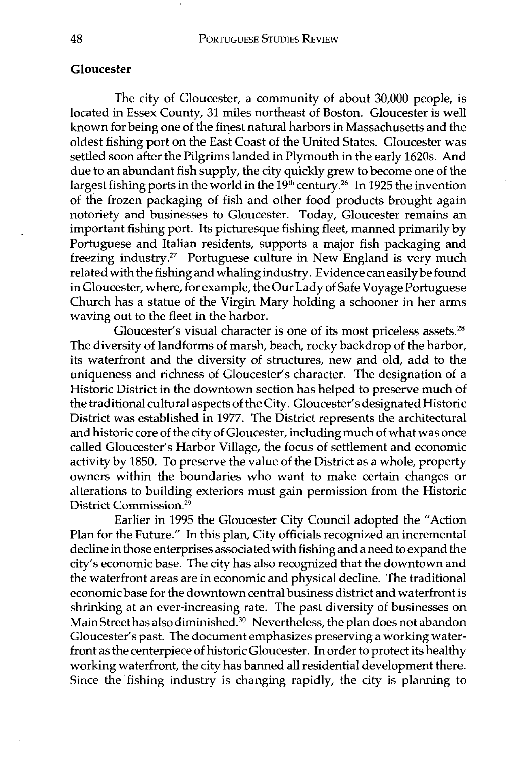## **Gloucester**

The city of Gloucester, a community of about 30,000 people, is located in Essex County, 31 miles northeast of Boston. Gloucester is well known for being one of the finest natural harbors in Massachusetts and the oldest fishing port on the East Coast of the United States. Gloucester was settled soon after the Pilgrims landed in Plymouth in the early 1620s. And due to an abundant fish supply, the city quickly grew to become one of the largest fishing ports in the world in the  $19<sup>th</sup>$  century.<sup>26</sup> In 1925 the invention of the frozen packaging of fish and other food products brought again notoriety and businesses to Gloucester. Today, Gloucester remains an important fishing port. Its picturesque fishing fleet, manned primarily by Portuguese and Italian residents, supports a major fish packaging and freezing industry.<sup>27</sup> Portuguese culture in New England is very much related with the fishing and whaling industry. Evidence can easily be found in Gloucester, where, for example, the Our Lady of Safe Voyage Portuguese Church has a statue of the Virgin Mary holding a schooner in her arms waving out to the fleet in the harbor.

Gloucester's visual character is one of its most priceless assets.<sup>28</sup> The diversity of landforms of marsh, beach, rocky backdrop of the harbor, its waterfront and the diversity of structures, new and old, add to the uniqueness and richness of Gloucester's character. The designation of a Historic District in the downtown section has helped to preserve much of the traditional cultural aspects of the City. Gloucester's designated Historic District was established in 1977. The District represents the architectural and historic core of the city of Gloucester, including much of what was once called Gloucester's Harbor Village, the focus of settlement and economic activity by 1850. To preserve the value of the District as a whole, property owners within the boundaries who want to make certain changes or alterations to building exteriors must gain permission from the Historic District Commission.<sup>29</sup>

Earlier in 1995 the Gloucester City Council adopted the "Action Plan for the Future." In this plan, City officials recognized an incremental decline in those enterprises associated with fishing and aneed to expand the city's economic base. The city has also recognized that the downtown and the waterfront areas are in economic and physical decline. The traditional economic base for the downtown central business district and waterfront is shrinking at an ever-increasing rate. The past diversity of businesses on Main Street has also diminished.<sup>30</sup> Nevertheless, the plan does not abandon Gloucester's past. The document emphasizes preserving a working waterfront as the centerpiece of historic Gloucester. In order to protect its healthy working waterfront, the city has banned all residential development there. Since the fishing industry is changing rapidly, the city is planning to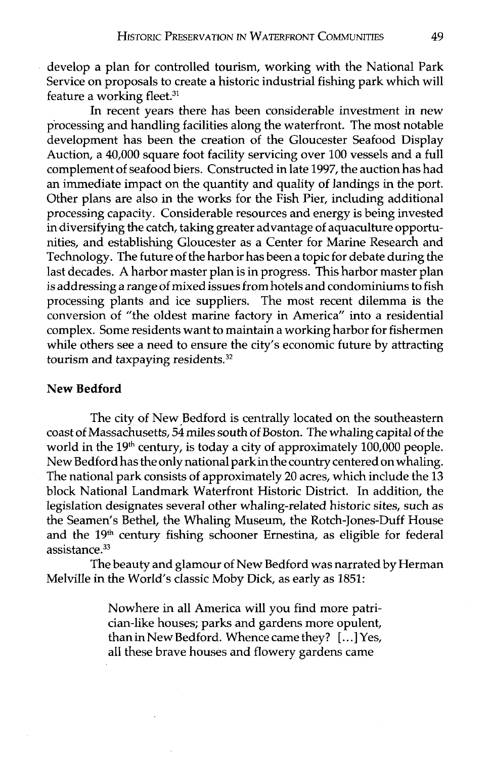develop a plan for controlled tourism, working with the National Park Service on proposals to create a historic industrial fishing park which will feature a working fleet. $31$ 

In recent years there has been considerable investment in new processing and handling facilities along the waterfront. The most notable development has been the creation of the Gloucester Seafood Display Auction, a 40,000 square foot facility servicing over 100 vessels and a full complement of seafood biers. Constructed in late 1997, the auction has had an immediate impact on the quantity and quality of landings in the port. Other plans are also in the works for the Fish Pier, including additional processing capacity. Considerable resources and energy is being invested in diversifying the catch, taking greater advantage of aquaculture opportunities, and establishing Gloucester as a Center for Marine Research and Technology. The future of the harbor has been a topic for debate during the last decades. A harbor master plan is in progress. This harbor master plan is addressing a range of mixed issues from hotels and condominiums to fish processing plants and ice suppliers. The most recent dilemma is the conversion of "the oldest marine factory in America" into a residential complex. Some residents want to maintain a working harbor for fishermen while others see a need to ensure the city's economic future by attracting tourism and taxpaying residents.<sup>32</sup>

# **New Bedford**

The city of New Bedford is centrally located on the southeastern coast of Massachusetts, 54 miles south of Boston. The whaling capital of the world in the  $19<sup>th</sup>$  century, is today a city of approximately  $100,000$  people. New Bedford has the only national parkin the country centered on whaling. The national park consists of approximately 20 acres, which include the **13**  block National Landmark Waterfront Historic District. In addition, the legislation designates several other whaling-related historic sites, such as the Seamen's Bethel, the Whaling Museum, the Rotch-Jones-Duff House and the 19<sup>th</sup> century fishing schooner Ernestina, as eligible for federal assistance.<sup>33</sup>

The beauty and glamour of New Bedford was narrated by Herman Melville in the World's classic Moby Dick, as early as 1851:

> Nowhere in all America will you find more patrician-like houses; parks and gardens more opulent, than in New Bedford. Whence came they?  $\left[\ldots\right]$  Yes, all these brave houses and flowery gardens came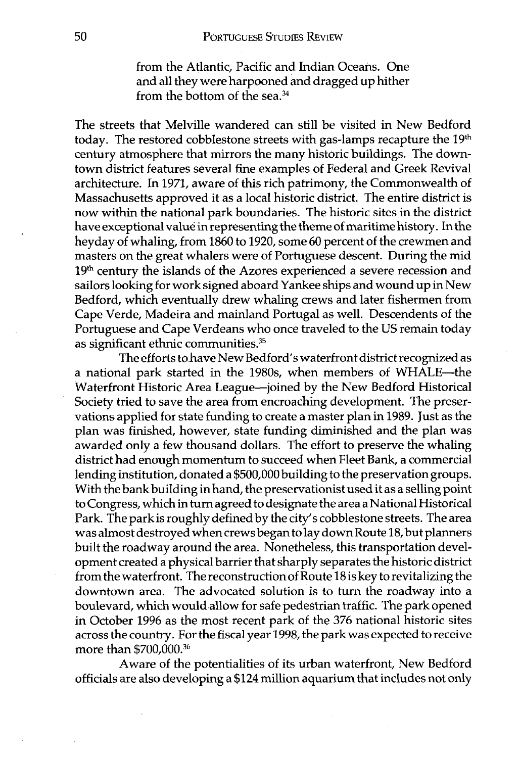from the Atlantic, Pacific and Indian Oceans. One and all they were harpooned and dragged up hither from the bottom of the sea.34

The streets that Melville wandered can still be visited in New Bedford today. The restored cobblestone streets with gas-lamps recapture the 19<sup>th</sup> century atmosphere that mirrors the many historic buildings. The downtown district features several fine examples of Federal and Greek Revival architecture. In 1971, aware of this rich patrimony, the Commonwealth of Massachusetts approved it as a local historic district. The entire district is now within the national park boundaries. The historic sites in the district have exceptional value in representing the theme of maritime history. In the heyday of whaling, from 1860 to 1920, some 60 percent of the crewmen and masters on the great whalers were of Portuguese descent. During the mid 19<sup>th</sup> century the islands of the Azores experienced a severe recession and sailors looking for work signed aboard Yankee ships and wound up in New Bedford, which eventually drew whaling crews and later fishermen from Cape Verde, Madeira and mainland Portugal as well. Descendents of the Portuguese and Cape Verdeans who once traveled to the US remain today as significant ethnic communities. $35$ 

The efforts to have New Bedford's waterfront district recognized as a national park started in the 1980s, when members of WHALE-the Waterfront Historic Area League-joined by the New Bedford Historical Society tried to save the area from encroaching development. The preservations applied for state funding to create a master plan in 1989. Just as the plan was finished, however, state funding diminished and the plan was awarded only a few thousand dollars. The effort to preserve the whaling district had enough momentum to succeed when Fleet Bank, a commercial lending institution, donated a \$500,000 building to the preservation groups. With the bank building in hand, the preservationist used it as a selling point to Congress, which in turn agreed to designate the area a National Historical Park. The parkis roughly defined by the city's cobblestone streets. The area was almost destroyed when crews began to lay down Route 18, but planners built the roadway around the area. Nonetheless, this transportation development created a physical barrier that sharply separates the historic district from the waterfront. The reconstructionof Route 18 is key to revitalizing the downtown area. The advocated solution is to turn the roadway into a boulevard, which would allow for safe pedestrian traffic. The park opened in October 1996 as the most recent park of the **376** national historic sites across the country. For the fiscal year 1998, the park was expected to receive more than \$700,000.36

Aware of the potentialities of its urban waterfront, New Bedford officials are also developing a \$124 million aquarium that includes not only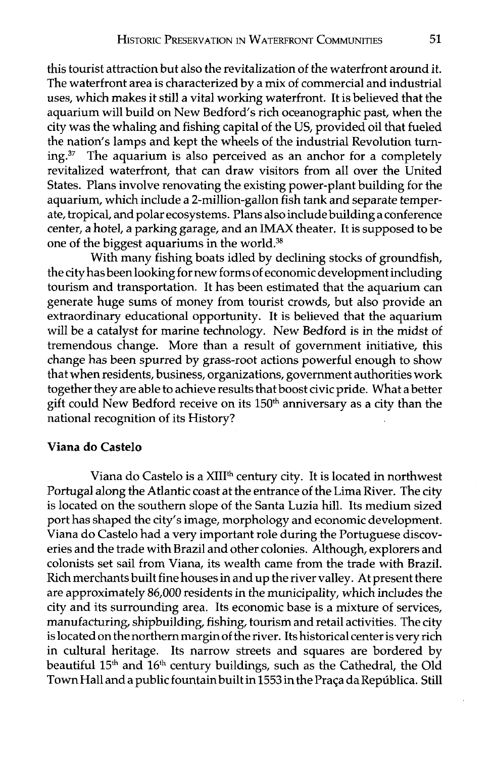this tourist attraction but also the revitalization of the waterfront around it. The waterfront area is characterized by a mix of commercial and industrial uses, which makes it still a vital working waterfront. It is believed that the aquarium will build on New Bedford's rich oceanographic past, when the city was the whaling and fishing capital of the US, provided oil that fueled the nation's lamps and kept the wheels of the industrial Revolution turning.37 The aquarium is also perceived as an anchor for a completely revitalized waterfront, that can draw visitors from all over the United States. Plans involve renovating the existing power-plant building for the aquarium, which include a 2-million-gallon fish tank and separate temperate, tropical, and polar ecosystems. Plans also include building a conference center, a hotel, a parking garage, and an **IMAX** theater. It is supposed to be one of the biggest aquariums in the world.<sup>38</sup>

With many fishing boats idled by declining stocks of groundfish, the city has been looking for new forms of economic development including tourism and transportation. It has been estimated that the aquarium can generate huge sums of money from tourist crowds, but also provide an extraordinary educational opportunity. It is believed that the aquarium will be a catalyst for marine technology. New Bedford is in the midst of tremendous change. More than a result of government initiative, this change has been spurred by grass-root actions powerful enough to show that when residents, business, organizations, government authorities work together they are able to achieve results that boost civic pride. What a better gift could New Bedford receive on its  $150<sup>th</sup>$  anniversary as a city than the national recognition of its History?

# **Viana do Castelo**

Viana do Castelo is a XIII<sup>th</sup> century city. It is located in northwest Portugal along the Atlantic coast at the entrance of the Lima River. The city is located on the southern slope of the Santa Luzia hill. Its medium sized port has shaped the city's image, morphology and economic development. Viana do Castelo had a very important role during the Portuguese discoveries and the trade with Brazil and other colonies. Although, explorers and colonists set sail from Viana, its wealth came from the trade with Brazil. Rich merchants built fine houses in and up the river valley. At present there are approximately 86,000 residents in the municipality, which includes the city and its surrounding area. Its economic base is a mixture of services, manufacturing, shipbuilding, fishing, tourism and retail activities. The city is located on the northern margin of the river. Its historical center is very rich in cultural heritage. Its narrow streets and squares are bordered by beautiful  $15<sup>th</sup>$  and  $16<sup>th</sup>$  century buildings, such as the Cathedral, the Old Town Hall and a public fountain built in 1553 in the Praça da República. Still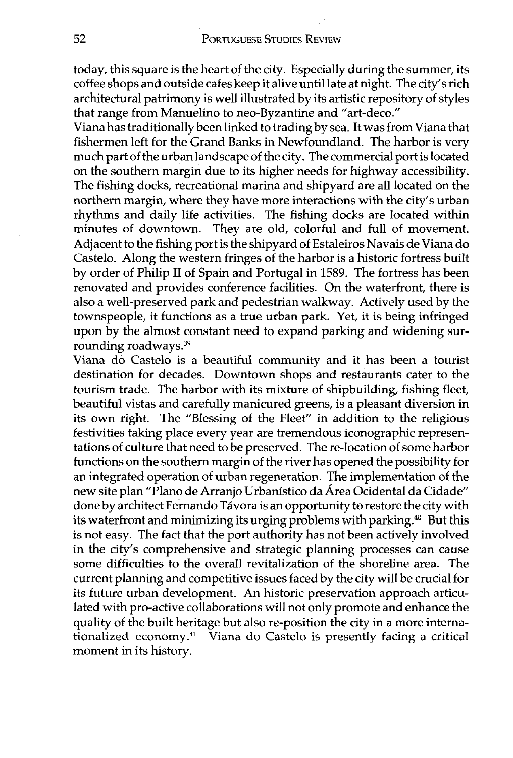today, this square is the heart of the city. Especially during the summer, its coffee shops and outside cafes keep it alive until late at night. The city's rich architectural patrimony is well illustrated by its artistic repository of styles that range from Manuelino to neo-Byzantine and "art-deco."

Viana has traditionally been linked to trading by sea. It was from Viana that fishermen left for the Grand Banks in Newfoundland. The harbor is very much part of the urban landscape of the city. The commercial port is located on the southern margin due to its higher needs for highway accessibility. The fishing docks, recreational marina and shipyard are all located on the northern margin, where they have more interactions with the city's urban rhythms and daily life activities. The fishing docks are located within minutes of downtown. They are old, colorful and full of movement. Adjacent to the fishing port is the shipyard of Estaleiros Navais de Viana do Castelo. Along the western fringes of the harbor is a historic fortress built by order of Philip I1 of Spain and Portugal in 1589. The fortress has been renovated and provides conference facilities. On the waterfront, there is also a well-preserved park and pedestrian walkway. Actively used by the townspeople, it functions as a true urban park. Yet, it is being infringed upon by the almost constant need to expand parking and widening surrounding roadways.39

Viana do Castelo is a beautiful community and it has been a tourist destination for decades. Downtown shops and restaurants cater to the tourism trade. The harbor with its mixture of shipbuilding, fishing fleet, beautiful vistas and carefully manicured greens, is a pleasant diversion in its own right. The "Blessing of the Fleet" in addition to the religious festivities taking place every year are tremendous iconographic representations of culture that need to be preserved. The re-location of some harbor functions on the southern margin of the river has opened the possibility for an integrated operation of urban regeneration. The implementation of the new site plan "Plano de Arranjo Urbanistico da Area Ocidental da Cidade" done by architect Fernando Távora is an opportunity to restore the city with its waterfront and minimizing its urging problems with parking.<sup>40</sup> But this is not easy. The fact that the port authority has not been actively involved in the city's comprehensive and strategic planning processes can cause some difficulties to the overall revitalization of the shoreline area. The current planning and competitive issues faced by the city will be crucial for its future urban development. An historic preservation approach articulated with pro-active collaborations will not only promote and enhance the quality of the built heritage but also re-position the city in a more internationalized economy.41 Viana do Castelo is presently facing a critical moment in its history.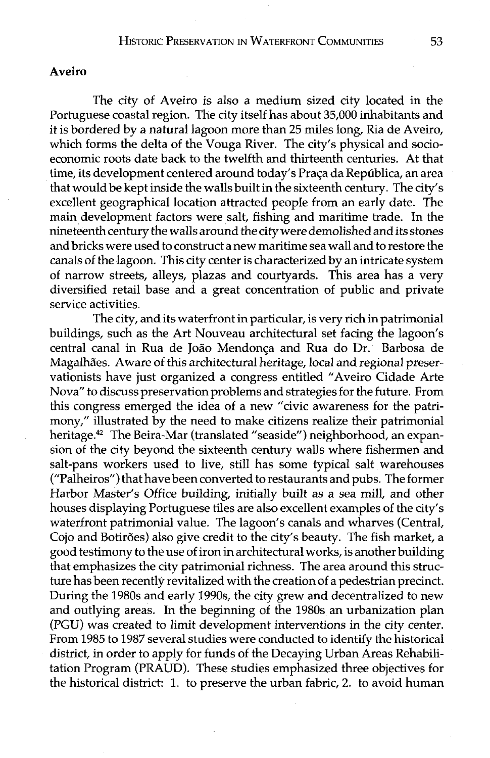# **Aveiro**

The city of Aveiro is also a medium sized city located in the Portuguese coastal region. The city itself has about 35,000 inhabitants and it is bordered by a natural lagoon more than 25 miles long, Ria de Aveiro, which forms the delta of the Vouga River. The city's physical and socioeconomic roots date back to the twelfth and thirteenth centuries. At that time, its development centered around today's Praca da República, an area that would be kept inside the walls built in the sixteenth century. The city's excellent geographical location attracted people from an early date. The main development factors were salt, fishing and maritime trade. In the nineteenth century the walls around the city were demolished and its stones and bricks were used to construct a new maritime sea wall and to restore the canals of the lagoon. This city center is characterized by an intricate system of narrow streets, alleys, plazas and courtyards. This area has a very diversified retail base and a great concentration of public and private service activities.

The city, and its waterfront in particular, is very rich in patrimonial buildings, such as the Art Nouveau architectural set facing the lagoon's central canal in Rua de João Mendonca and Rua do Dr. Barbosa de Magalhães. Aware of this architectural heritage, local and regional preservationists have just organized a congress entitled "Aveiro Cidade Arte Nova" to discuss preservation problems and strategies for the future. From this congress emerged the idea of a new "civic awareness for the patrimony," illustrated by the need to make citizens realize their patrimonial heritage.<sup>42</sup> The Beira-Mar (translated "seaside") neighborhood, an expansion of the city beyond the sixteenth century walls where fishermen and salt-pans workers used to live, still has some typical salt warehouses ("Palheiros") that have been converted to restaurants and pubs. The former Harbor Master's Office building, initially built as a sea mill, and other houses displaying Portuguese tiles are also excellent examples of the city's waterfront patrimonial value. The lagoon's canals and wharves (Central, Cojo and Botirões) also give credit to the city's beauty. The fish market, a good testimony to the use of iron in architectural works, is another building that emphasizes the city patrimonial richness. The area around this structure has been recently revitalized with the creation of a pedestrian precinct. During the 1980s and early 1990s, the city grew and decentralized to new and outlying areas. In the beginning of the 1980s an urbanization plan (PGU) was created to limit development interventions in the city center. From 1985 to 1987 several studies were conducted to identify the historical district, in order to apply for funds of the Decaying Urban Areas Rehabilitation Program (PRAUD). These studies emphasized three objectives for the historical district: 1. to preserve the urban fabric, 2. to avoid human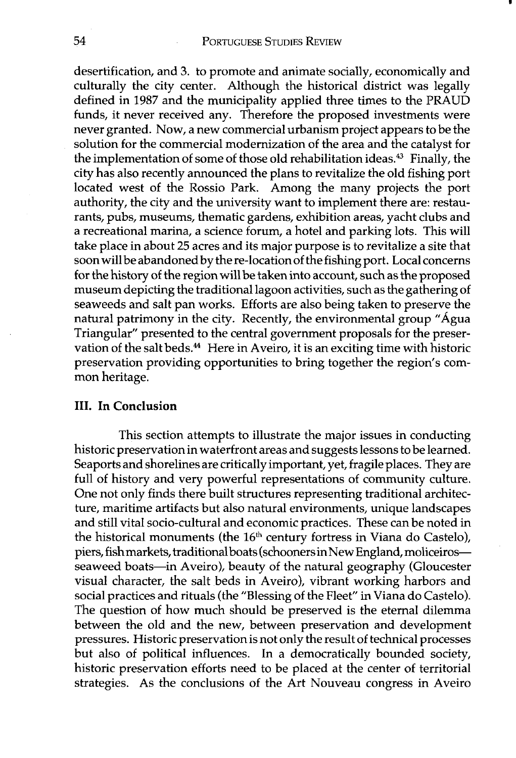desertification, and **3.** to promote and animate socially, economically and culturally the city center. Although the historical district was legally defined in 1987 and the municipality applied three times to the PRAUD funds, it never received any. Therefore the proposed investments were never granted. Now, a new commercial urbanism project appears to be the solution for the commercial modernization of the area and the catalyst for the implementation of some of those old rehabilitation ideas.43 Finally, the city has also recently announced the plans to revitalize the old fishing port located west of the Rossio Park. Among the many projects the port authority, the city and the university want to implement there are: restaurants, pubs, museums, thematic gardens, exhibition areas, yacht clubs and a recreational marina, a science forum, a hotel and parking lots. This will take place in about 25 acres and its major purpose is to revitalize a site that soon will be abandoned by the re-location of the fishing port. Local concerns for the history of the region will be taken into account, such as the proposed museum depicting the traditional lagoon activities, such as the gathering of seaweeds and salt pan works. Efforts are also being taken to preserve the natural patrimony in the city. Recently, the environmental group "Agua Triangular" presented to the central government proposals for the preservation of the salt beds.<sup>44</sup> Here in Aveiro, it is an exciting time with historic preservation providing opportunities to bring together the region's common heritage.

# **111. In Conclusion**

This section attempts to illustrate the major issues in conducting historic preservation in waterfront areas and suggests lessons to be learned. Seaports and shorelines are critically important, yet, fragile places. They are full of history and very powerful representations of community culture. One not only finds there built structures representing traditional architecture, maritime artifacts but also natural environments, unique landscapes and still vital socio-cultural and economic practices. These can be noted in the historical monuments (the **16th** century fortress in Viana do Castelo), piers, fishmarkets, traditional boats (schoonersinNew England, moliceirosseaweed boats-in Aveiro), beauty of the natural geography (Gloucester visual character, the salt beds in Aveiro), vibrant working harbors and social practices and rituals (the "Blessing of the Fleet" in Viana do Castelo). The question of how much should be preserved is the eternal dilemma between the old and the new, between preservation and development pressures. Historic preservation is not only the result of technical processes but also of political influences. In a democratically bounded society, historic preservation efforts need to be placed at the center of territorial strategies. As the conclusions of the Art Nouveau congress in Aveiro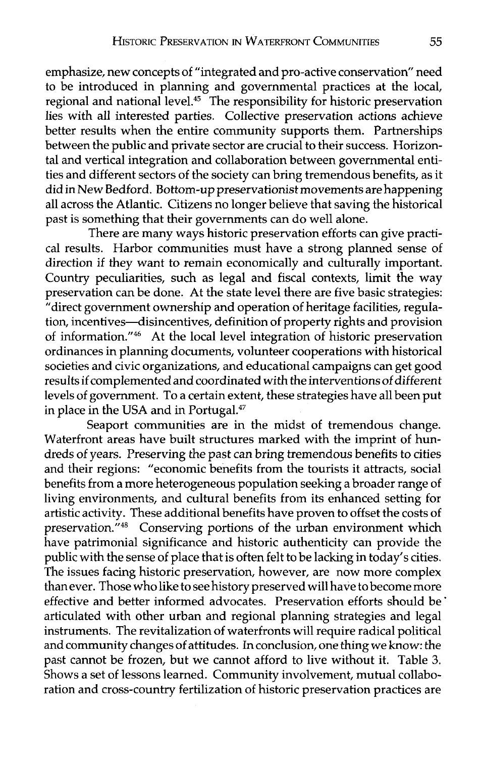emphasize, new concepts of "integrated and pro-active conservation" need to be introduced in planning and governmental practices at the local, regional and national level.<sup>45</sup> The responsibility for historic preservation lies with all interested parties. Collective preservation actions achieve better results when the entire community supports them. Partnerships between the public and private sector are crucial to their success. Horizontal and vertical integration and collaboration between governmental entities and different sectors of the society can bring tremendous benefits, as it did in New Bedford. Bottom-up preservationist movements are happening all across the Atlantic. Citizens no longer believe that saving the historical past is something that their governments can do well alone.

There are many ways historic preservation efforts can give practical results. Harbor communities must have a strong planned sense of direction if they want to remain economically and culturally important. Country peculiarities, such as legal and fiscal contexts, limit the way preservation can be done. At the state level there are five basic strategies: "direct government ownership and operation of heritage facilities, regulation, incentives-disincentives, definition of property rights and provision of information."<sup>46</sup> At the local level integration of historic preservation ordinances in planning documents, volunteer cooperations with historical societies and civic organizations, and educational campaigns can get good results if complemented and coordinated with the interventions of different levels of government. To a certain extent, these strategies have all been put in place in the USA and in Portugal. $47$ 

Seaport communities are in the midst of tremendous change. Waterfront areas have built structures marked with the imprint of hundreds of years. Preserving the past can bring tremendous benefits to cities and their regions: "economic benefits from the tourists it attracts, social benefits from a more heterogeneous population seeking a broader range of living environments, and cultural benefits from its enhanced setting for artistic activity. These additional benefits have proven to offset the costs of preservation."<sup>48</sup> Conserving portions of the urban environment which have patrimonial significance and historic authenticity can provide the public with the sense of place that is often felt to be lacking in today's cities. The issues facing historic preservation, however, are now more complex thanever. Those who like to see history preserved will have to become more effective and better informed advocates. Preservation efforts should be ' articulated with other urban and regional planning strategies and legal instruments. The revitalization of waterfronts will require radical political and community changes of attitudes. In conclusion, one thing we know: the past cannot be frozen, but we cannot afford to live without it. Table **3.**  Shows a set of lessons learned. Community involvement, mutual collaboration and cross-country fertilization of historic preservation practices are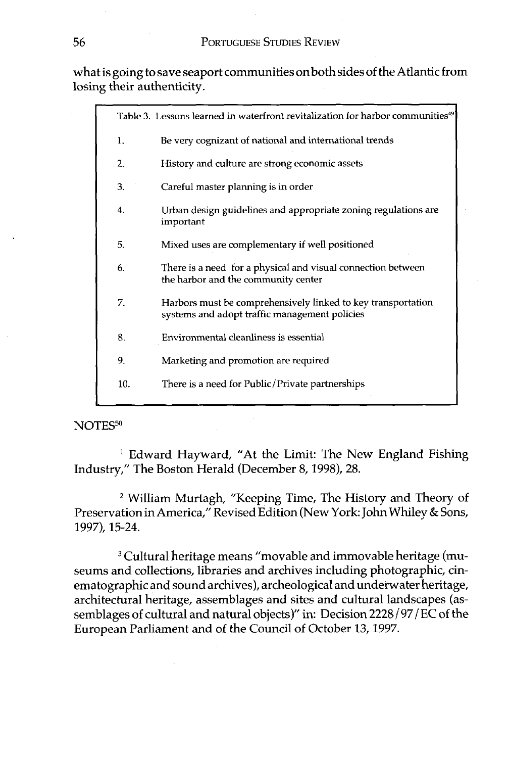## **PORTUGUESE STUDIES REVIEW**

what is going to save seaport communities onboth sides of the Atlantic from losing their authenticity.

|     | Table 3. Lessons learned in waterfront revitalization for harbor communities <sup>49</sup>                    |  |
|-----|---------------------------------------------------------------------------------------------------------------|--|
| 1.  | Be very cognizant of national and international trends                                                        |  |
| 2.  | History and culture are strong economic assets                                                                |  |
| 3.  | Careful master planning is in order                                                                           |  |
| 4.  | Urban design guidelines and appropriate zoning regulations are<br>important                                   |  |
| 5.  | Mixed uses are complementary if well positioned                                                               |  |
| 6.  | There is a need for a physical and visual connection between<br>the harbor and the community center           |  |
| 7.  | Harbors must be comprehensively linked to key transportation<br>systems and adopt traffic management policies |  |
| 8.  | Environmental cleanliness is essential                                                                        |  |
| 9.  | Marketing and promotion are required                                                                          |  |
| 10. | There is a need for Public/Private partnerships                                                               |  |

#### NOTES<sup>50</sup>

<sup>1</sup> Edward Hayward, "At the Limit: The New England Fishing Industry," The Boston Herald (December 8,1998), 28.

William Murtagh, "Keeping Time, The History and Theory of Preservation in America," Revised Edition (New York: John Whiley & Sons, 1997), 15-24.

<sup>3</sup> Cultural heritage means "movable and immovable heritage (museums and collections, libraries and archives including photographic, cinematographic and sound archives), archeological and underwater heritage, architectural heritage, assemblages and sites and cultural landscapes (assemblages of cultural and natural objects)" in: Decision 2228/97 / EC of the European Parliament and of the Council of October 13,1997.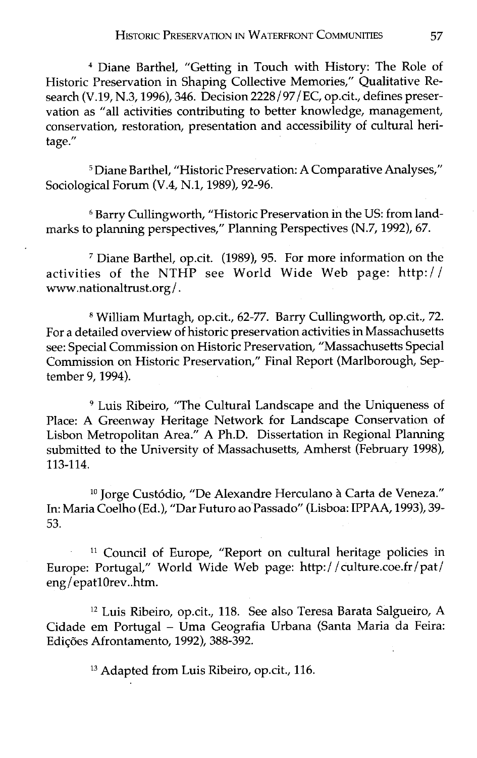Diane Barthel, "Getting in Touch with History: The Role of Historic Preservation in Shaping Collective Memories," Qualitative Research (V.19, N.3,1996), 346. Decision 2228/97/EC, op.cit., defines preservation as "all activities contributing to better knowledge, management, conservation, restoration, presentation and accessibility of cultural heritage."

<sup>5</sup> Diane Barthel, "Historic Preservation: A Comparative Analyses," Sociological Forum (V.4, N.l, 1989), 92-96.

Barry Cullingworth, "Historic Preservation in the US: from landmarks to planning perspectives," Planning Perspectives (N.7,1992), 67.

Diane Barthel, op.cit. (1989), 95. For more information on the activities of the NTHP see World Wide Web page: http:/ / www.nationaltrust.org/ .

William Murtagh, op.cit., 62-77. Barry Cullingworth, op.cit., 72. For a detailed overview of historic preservation activities in Massachusetts see: Special Commission on Historic Preservation, "Massachusetts Special Commission on Historic Preservation," Final Report (Marlborough, September 9,1994).

Luis Ribeiro, "The Cultural Landscape and the Uniqueness of Place: A Greenway Heritage Network for Landscape Conservation of Lisbon Metropolitan Area." A Ph.D. Dissertation in Regional Planning submitted to the University of Massachusetts, Amherst (February 1998), 113-114.

<sup>10</sup> Jorge Custódio, "De Alexandre Herculano à Carta de Veneza." In: Maria Coelho (Ed.), "Dar Futuro ao Passado" (Lisboa: IPPAA, 1993), 39- 53.

<sup>11</sup> Council of Europe, "Report on cultural heritage policies in Europe: Portugal," World Wide Web page: http: / / culture.coe.fr / pat/ eng/epatlOrev..htrn.

**l2** Luis Ribeiro, op.cit., 118. See also Teresa Barata Salgueiro, A Cidade em Portugal - Uma Geografia Urbana (Santa Maria da Feira: Edições Afrontamento, 1992), 388-392.

**l3** Adapted from Luis Ribeiro, op.cit., 116.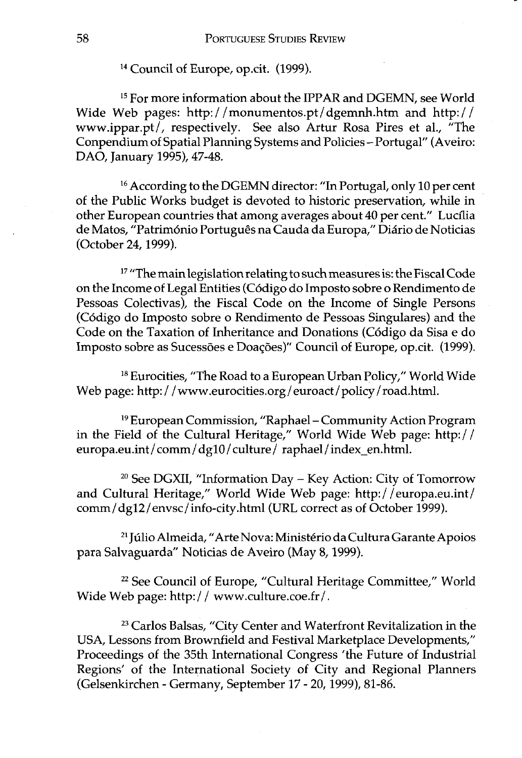**l4** Council of Europe, op.cit. (1999).

**l5** For more information about the IPPAR and DGEMN, see World Wide Web pages: http: / **/monumentos.pt/dgemnh.htm** and http: / / www.ippar.pt/, respectively. See also Artur Rosa Pires et al., "The Conpendium of Spatial Planning Systems and Policies - Portugal" (Aveiro: DAO, January 1995), 47-48.

<sup>16</sup> According to the DGEMN director: "In Portugal, only 10 per cent of the Public Works budget is devoted to historic preservation, while in other European countries that among averages about 40 per cent." Luctlia de Matos, "Património Português na Cauda da Europa," Diário de Noticias (October 24,1999).

**l7** "The main legislation relating to such measures is: the Fiscal Code on the Income of Legal Entities (C6digo do Imposto sobre o Rendimento de Pessoas Colectivas), the Fiscal Code on the Income of Single Persons (C6digo do Imposto sobre o Rendimento de Pessoas Singulares) and the Code on the Taxation of Inheritance and Donations (Código da Sisa e do Imposto sobre as Sucessões e Doações)" Council of Europe, op.cit. (1999).

<sup>18</sup> Eurocities, "The Road to a European Urban Policy," World Wide Web page: http://www.eurocities.org/euroact/policy/road.html.

**l9** European Commission, "Raphael - Community Action Program in the Field of the Cultural Heritage," World Wide Web page: http:/ / europa.eu.int/comm/dg10/culture/raphael/index-en.html.

**<sup>20</sup>**See DGXII, "Information Day - Key Action: City of Tomorrow and Cultural Heritage," World Wide Web page: http://europa.eu.int/ comm/ dgl2 /envsc/ info-city.htm1 (URL correct as of October 1999).

<sup>21</sup> Júlio Almeida, "Arte Nova: Ministério da Cultura Garante Apoios para Salvaguarda" Noticias de Aveiro (May 8,1999).

<sup>22</sup> See Council of Europe, "Cultural Heritage Committee," World Wide Web page: http://www.culture.coe.fr/.

**<sup>23</sup>**Carlos Balsas, "City Center and Waterfront Revitalization in the USA, Lessons from Brownfield and Festival Marketplace Developments," Proceedings of the 35th International Congress 'the Future of Industrial Regions' of the International Society of City and Regional Planners (Gelsenkirchen - Germany, September 17 - 20,1999), 81-86.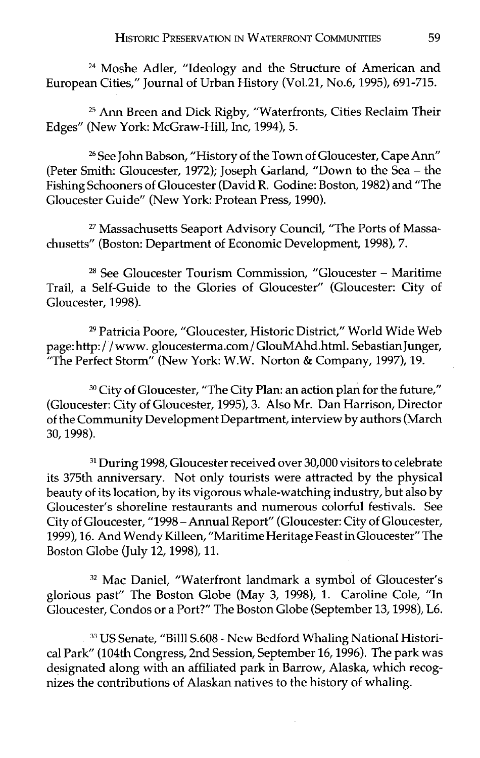**<sup>24</sup>**Moshe Adler, "Ideology and the Structure of American and European Cities," Journal of Urban History (Vol.21, No.6, 1995), 691-715.

**<sup>25</sup>**Ann Breen and Dick Rigby, "Waterfronts, Cities Reclaim Their Edges" (New York: McGraw-Hill, Inc, 1994), 5.

**<sup>26</sup>**See John Babson, "History of the Town of Gloucester, Cape Ann" (Peter Smith: Gloucester, 1972); Joseph Garland, "Down to the Sea - the Fishing Schooners of Gloucester (David R. Godine: Boston, 1982) and "The Gloucester Guide" (New York: Protean Press, 1990).

**27** Massachusetts Seaport Advisory Council, "The Ports of Massachusetts" (Boston: Department of Economic Development, 1998), 7.

28 See Gloucester Tourism Commission, "Gloucester - Maritime Trail, a Self-Guide to the Glories of Gloucester" (Gloucester: City of Gloucester, 1998).

**<sup>29</sup>**Patricia Poore, "Gloucester, Historic District," World Wide Web page: http: / / www. gloucesterma.com/ GlouMAhd.htm1. Sebastian Junger, "The Perfect Storm" (New York: W.W. Norton & Company, 1997), 19.

**<sup>30</sup>**City of Gloucester, "The City Plan: an action plan for the future," (Gloucester: City of Gloucester, 1995), 3. Also Mr. Dan Harrison, Director of the Community Development Department, interview by authors (March 30,1998).

**<sup>31</sup>**During 1998, Gloucester received over 30,000 visitors to celebrate its 375th anniversary. Not only tourists were attracted by the physical beauty of its location, by its vigorous whale-watching industry, but also by Gloucester's shoreline restaurants and numerous colorful festivals. See City of Gloucester, "1998 -Annual Report" (Gloucester: City of Gloucester, 1999), 16. And Wendy Killeen, "Maritime Heritage Feast inGloucester" The Boston Globe (July 12,1998), 11.

**<sup>32</sup>**Mac Daniel, "Waterfront landmark a symbol of Gloucester's glorious past" The Boston Globe (May 3, 1998), 1. Caroline Cole, "In Gloucester, Condos or a Port?" The Boston Globe (September 13,1998), L6.

**33** US Senate, "Bill1 S.608 - New Bedford Whaling National Historical Park" (104th Congress, 2nd Session, September 16, 1996). The park was designated along with an affiliated park in Barrow, Alaska, which recognizes the contributions of Alaskan natives to the history of whaling.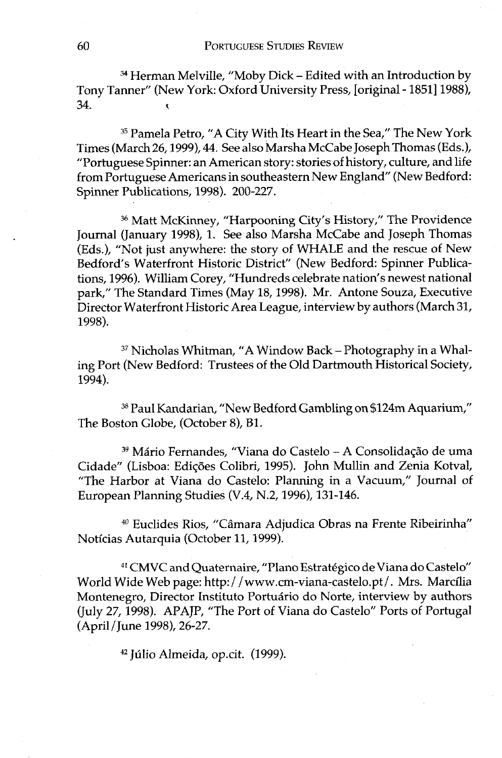#### **PORTUGUESE STUDIES REVIEW**

<sup>34</sup> Herman Melville, "Moby Dick - Edited with an Introduction by Tony Tanner" (New York: Oxford University Press, [original - 18511 1988), 34. <sup>&</sup>lt;

**<sup>35</sup>**Pamela Petro, "A City With Its Heart in the Sea," The New York Times (March 26,1999), 44. See also Marsha McCabe Joseph Thomas (Eds.), "Portuguese Spinner: an American story: stories of history, culture, and life from Portuguese Americans in southeastern New England" (New Bedford: Spinner Publications, 1998). 200-227.

<sup>36</sup> Matt McKinney, "Harpooning City's History," The Providence Journal (January 1998), 1. See also Marsha McCabe and Joseph Thomas (Eds.), "Not just anywhere: the story of WHALE and the rescue of New Bedford's Waterfront Historic District" (New Bedford: Spinner Publications, 1996). William Corey, "Hundreds celebrate nation's newest national park," The Standard Times (May 18,1998). Mr. Antone Souza, Executive Director Waterfront Historic Area League, interview by authors (March 31, 1998).

<sup>37</sup> Nicholas Whitman, "A Window Back - Photography in a Whaling Port (New Bedford: Trustees of the Old Dartmouth Historical Society, 1994).

**<sup>38</sup>**Paul Kandarian, "New Bedford Gambling on \$124m Aquarium," The Boston Globe, (October 8), B1.

<sup>39</sup> Mário Fernandes, "Viana do Castelo - A Consolidação de uma Cidade" (Lisboa: Ediq6es Colibri, 1995). John Mullin and Zenia Kotval, "The Harbor at Viana do Castelo: Planning in a Vacuum," Journal of European Planning Studies (V.4, N.2,1996), 131-146.

<sup>40</sup> Euclides Rios, "Câmara Adjudica Obras na Frente Ribeirinha" Noticias Autarquia (October 11,1999).

**<sup>41</sup>**CMVC and Quaternaire, "Plano Estrategico de Viana do Castelo" World Wide Web page: http://www.cm-viana-castelo.pt/. Mrs. Marcília Montenegro, Director Instituto Portuário do Norte, interview by authors (July 27, 1998). APAJP, "The Port of Viana do Castelo" Ports of Portugal (April / June 1998), 26-27.

<sup>42</sup> Júlio Almeida, op.cit. (1999).